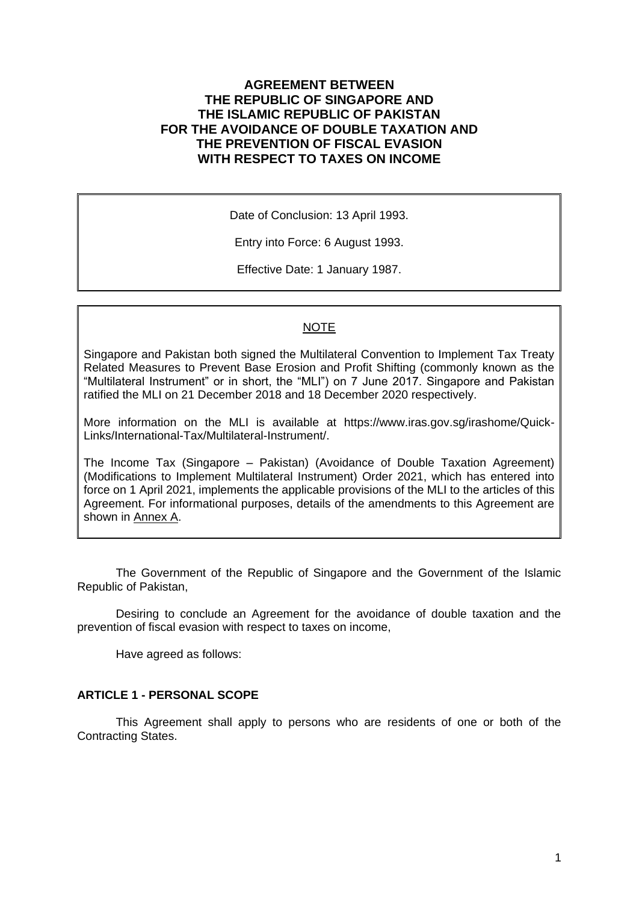## **AGREEMENT BETWEEN THE REPUBLIC OF SINGAPORE AND THE ISLAMIC REPUBLIC OF PAKISTAN FOR THE AVOIDANCE OF DOUBLE TAXATION AND THE PREVENTION OF FISCAL EVASION WITH RESPECT TO TAXES ON INCOME**

Date of Conclusion: 13 April 1993.

Entry into Force: 6 August 1993.

Effective Date: 1 January 1987.

## NOTE

Singapore and Pakistan both signed the Multilateral Convention to Implement Tax Treaty Related Measures to Prevent Base Erosion and Profit Shifting (commonly known as the "Multilateral Instrument" or in short, the "MLI") on 7 June 2017. Singapore and Pakistan ratified the MLI on 21 December 2018 and 18 December 2020 respectively.

More information on the MLI is available at https://www.iras.gov.sg/irashome/Quick-Links/International-Tax/Multilateral-Instrument/.

The Income Tax (Singapore – Pakistan) (Avoidance of Double Taxation Agreement) (Modifications to Implement Multilateral Instrument) Order 2021, which has entered into force on 1 April 2021, implements the applicable provisions of the MLI to the articles of this Agreement. For informational purposes, details of the amendments to this Agreement are shown in Annex A.

The Government of the Republic of Singapore and the Government of the Islamic Republic of Pakistan,

Desiring to conclude an Agreement for the avoidance of double taxation and the prevention of fiscal evasion with respect to taxes on income,

Have agreed as follows:

#### **ARTICLE 1 - PERSONAL SCOPE**

This Agreement shall apply to persons who are residents of one or both of the Contracting States.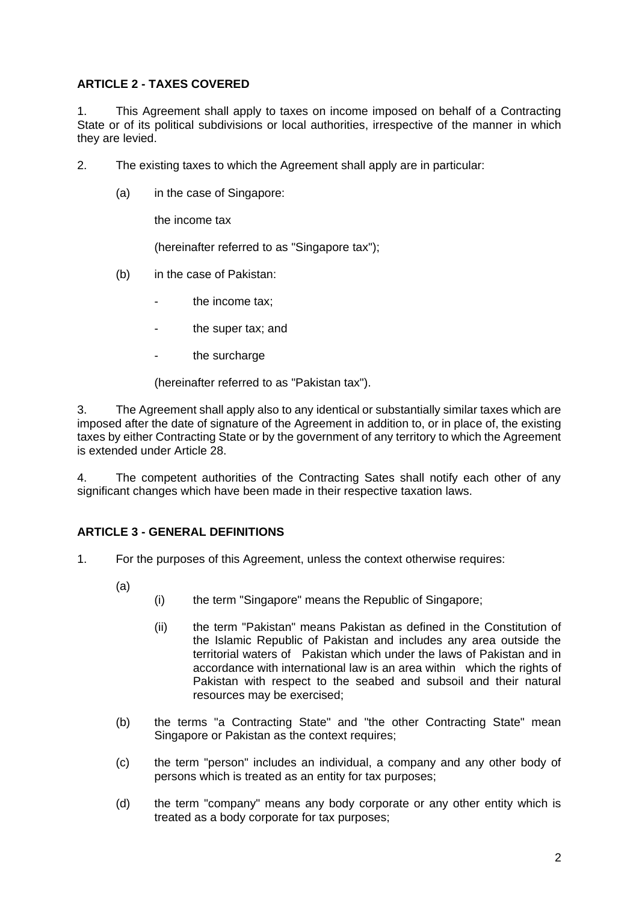# **ARTICLE 2 - TAXES COVERED**

1. This Agreement shall apply to taxes on income imposed on behalf of a Contracting State or of its political subdivisions or local authorities, irrespective of the manner in which they are levied.

- 2. The existing taxes to which the Agreement shall apply are in particular:
	- (a) in the case of Singapore:

the income tax

(hereinafter referred to as "Singapore tax");

- (b) in the case of Pakistan:
	- the income tax:
	- the super tax; and
	- the surcharge

(hereinafter referred to as "Pakistan tax").

3. The Agreement shall apply also to any identical or substantially similar taxes which are imposed after the date of signature of the Agreement in addition to, or in place of, the existing taxes by either Contracting State or by the government of any territory to which the Agreement is extended under Article 28.

4. The competent authorities of the Contracting Sates shall notify each other of any significant changes which have been made in their respective taxation laws.

## **ARTICLE 3 - GENERAL DEFINITIONS**

- 1. For the purposes of this Agreement, unless the context otherwise requires:
	- (a)
- (i) the term "Singapore" means the Republic of Singapore;
- (ii) the term "Pakistan" means Pakistan as defined in the Constitution of the Islamic Republic of Pakistan and includes any area outside the territorial waters of Pakistan which under the laws of Pakistan and in accordance with international law is an area within which the rights of Pakistan with respect to the seabed and subsoil and their natural resources may be exercised;
- (b) the terms "a Contracting State" and "the other Contracting State" mean Singapore or Pakistan as the context requires;
- (c) the term "person" includes an individual, a company and any other body of persons which is treated as an entity for tax purposes;
- (d) the term "company" means any body corporate or any other entity which is treated as a body corporate for tax purposes;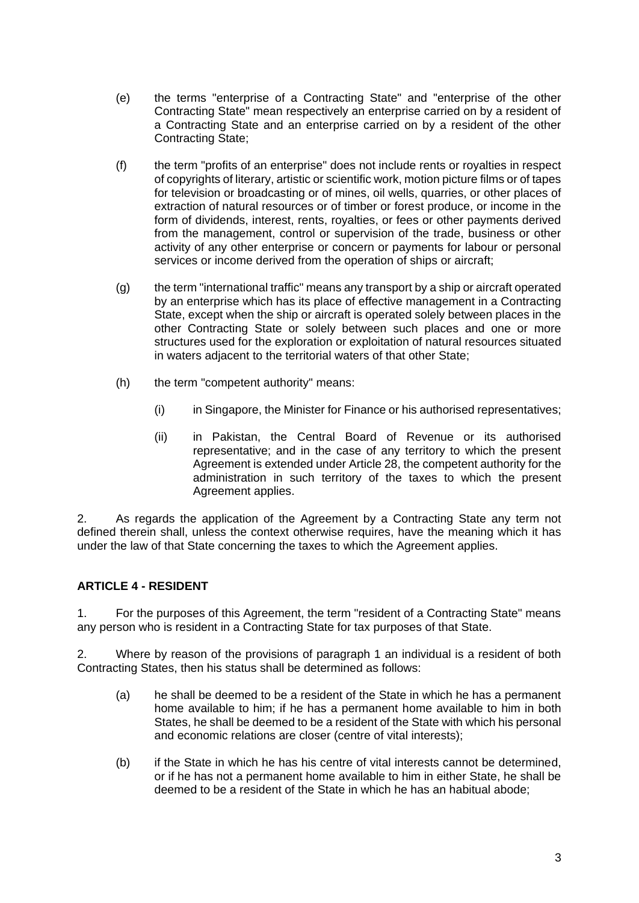- (e) the terms "enterprise of a Contracting State" and "enterprise of the other Contracting State" mean respectively an enterprise carried on by a resident of a Contracting State and an enterprise carried on by a resident of the other Contracting State;
- (f) the term "profits of an enterprise" does not include rents or royalties in respect of copyrights of literary, artistic or scientific work, motion picture films or of tapes for television or broadcasting or of mines, oil wells, quarries, or other places of extraction of natural resources or of timber or forest produce, or income in the form of dividends, interest, rents, royalties, or fees or other payments derived from the management, control or supervision of the trade, business or other activity of any other enterprise or concern or payments for labour or personal services or income derived from the operation of ships or aircraft;
- (g) the term "international traffic" means any transport by a ship or aircraft operated by an enterprise which has its place of effective management in a Contracting State, except when the ship or aircraft is operated solely between places in the other Contracting State or solely between such places and one or more structures used for the exploration or exploitation of natural resources situated in waters adjacent to the territorial waters of that other State;
- (h) the term "competent authority" means:
	- (i) in Singapore, the Minister for Finance or his authorised representatives;
	- (ii) in Pakistan, the Central Board of Revenue or its authorised representative; and in the case of any territory to which the present Agreement is extended under Article 28, the competent authority for the administration in such territory of the taxes to which the present Agreement applies.

2. As regards the application of the Agreement by a Contracting State any term not defined therein shall, unless the context otherwise requires, have the meaning which it has under the law of that State concerning the taxes to which the Agreement applies.

## **ARTICLE 4 - RESIDENT**

1. For the purposes of this Agreement, the term "resident of a Contracting State" means any person who is resident in a Contracting State for tax purposes of that State.

2. Where by reason of the provisions of paragraph 1 an individual is a resident of both Contracting States, then his status shall be determined as follows:

- (a) he shall be deemed to be a resident of the State in which he has a permanent home available to him; if he has a permanent home available to him in both States, he shall be deemed to be a resident of the State with which his personal and economic relations are closer (centre of vital interests);
- (b) if the State in which he has his centre of vital interests cannot be determined, or if he has not a permanent home available to him in either State, he shall be deemed to be a resident of the State in which he has an habitual abode;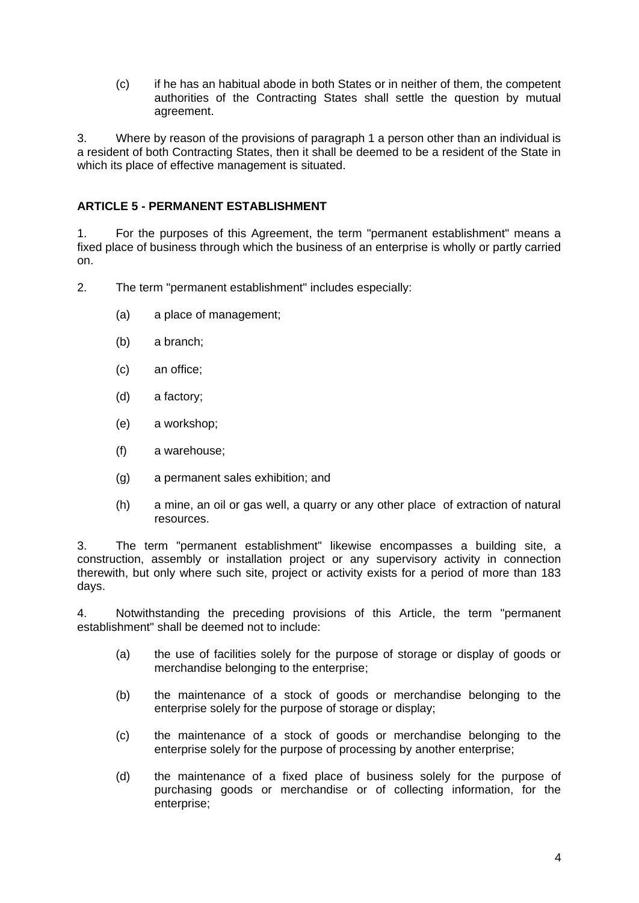(c) if he has an habitual abode in both States or in neither of them, the competent authorities of the Contracting States shall settle the question by mutual agreement.

3. Where by reason of the provisions of paragraph 1 a person other than an individual is a resident of both Contracting States, then it shall be deemed to be a resident of the State in which its place of effective management is situated.

## **ARTICLE 5 - PERMANENT ESTABLISHMENT**

1. For the purposes of this Agreement, the term "permanent establishment" means a fixed place of business through which the business of an enterprise is wholly or partly carried on.

- 2. The term "permanent establishment" includes especially:
	- (a) a place of management;
	- (b) a branch;
	- (c) an office;
	- (d) a factory;
	- (e) a workshop;
	- (f) a warehouse;
	- (g) a permanent sales exhibition; and
	- (h) a mine, an oil or gas well, a quarry or any other place of extraction of natural resources.

3. The term "permanent establishment" likewise encompasses a building site, a construction, assembly or installation project or any supervisory activity in connection therewith, but only where such site, project or activity exists for a period of more than 183 days.

4. Notwithstanding the preceding provisions of this Article, the term "permanent establishment" shall be deemed not to include:

- (a) the use of facilities solely for the purpose of storage or display of goods or merchandise belonging to the enterprise;
- (b) the maintenance of a stock of goods or merchandise belonging to the enterprise solely for the purpose of storage or display;
- (c) the maintenance of a stock of goods or merchandise belonging to the enterprise solely for the purpose of processing by another enterprise;
- (d) the maintenance of a fixed place of business solely for the purpose of purchasing goods or merchandise or of collecting information, for the enterprise;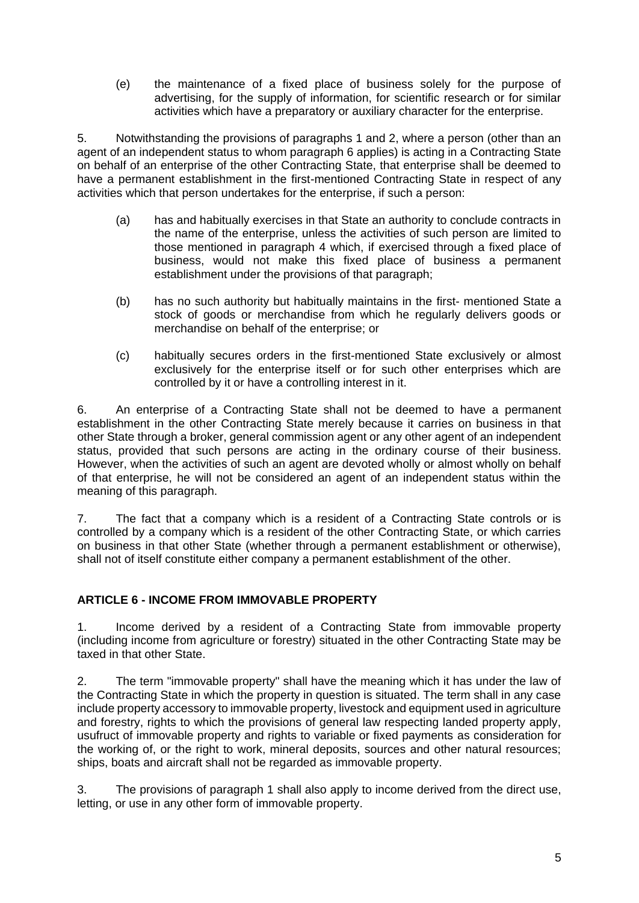(e) the maintenance of a fixed place of business solely for the purpose of advertising, for the supply of information, for scientific research or for similar activities which have a preparatory or auxiliary character for the enterprise.

5. Notwithstanding the provisions of paragraphs 1 and 2, where a person (other than an agent of an independent status to whom paragraph 6 applies) is acting in a Contracting State on behalf of an enterprise of the other Contracting State, that enterprise shall be deemed to have a permanent establishment in the first-mentioned Contracting State in respect of any activities which that person undertakes for the enterprise, if such a person:

- (a) has and habitually exercises in that State an authority to conclude contracts in the name of the enterprise, unless the activities of such person are limited to those mentioned in paragraph 4 which, if exercised through a fixed place of business, would not make this fixed place of business a permanent establishment under the provisions of that paragraph;
- (b) has no such authority but habitually maintains in the first- mentioned State a stock of goods or merchandise from which he regularly delivers goods or merchandise on behalf of the enterprise; or
- (c) habitually secures orders in the first-mentioned State exclusively or almost exclusively for the enterprise itself or for such other enterprises which are controlled by it or have a controlling interest in it.

6. An enterprise of a Contracting State shall not be deemed to have a permanent establishment in the other Contracting State merely because it carries on business in that other State through a broker, general commission agent or any other agent of an independent status, provided that such persons are acting in the ordinary course of their business. However, when the activities of such an agent are devoted wholly or almost wholly on behalf of that enterprise, he will not be considered an agent of an independent status within the meaning of this paragraph.

7. The fact that a company which is a resident of a Contracting State controls or is controlled by a company which is a resident of the other Contracting State, or which carries on business in that other State (whether through a permanent establishment or otherwise), shall not of itself constitute either company a permanent establishment of the other.

## **ARTICLE 6 - INCOME FROM IMMOVABLE PROPERTY**

1. Income derived by a resident of a Contracting State from immovable property (including income from agriculture or forestry) situated in the other Contracting State may be taxed in that other State.

2. The term "immovable property" shall have the meaning which it has under the law of the Contracting State in which the property in question is situated. The term shall in any case include property accessory to immovable property, livestock and equipment used in agriculture and forestry, rights to which the provisions of general law respecting landed property apply, usufruct of immovable property and rights to variable or fixed payments as consideration for the working of, or the right to work, mineral deposits, sources and other natural resources; ships, boats and aircraft shall not be regarded as immovable property.

3. The provisions of paragraph 1 shall also apply to income derived from the direct use, letting, or use in any other form of immovable property.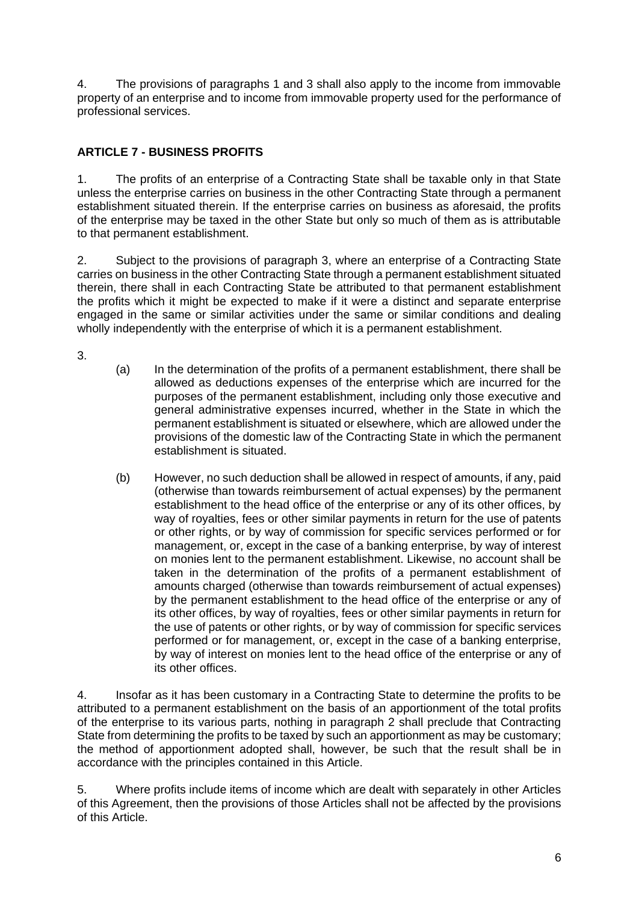4. The provisions of paragraphs 1 and 3 shall also apply to the income from immovable property of an enterprise and to income from immovable property used for the performance of professional services.

# **ARTICLE 7 - BUSINESS PROFITS**

1. The profits of an enterprise of a Contracting State shall be taxable only in that State unless the enterprise carries on business in the other Contracting State through a permanent establishment situated therein. If the enterprise carries on business as aforesaid, the profits of the enterprise may be taxed in the other State but only so much of them as is attributable to that permanent establishment.

2. Subject to the provisions of paragraph 3, where an enterprise of a Contracting State carries on business in the other Contracting State through a permanent establishment situated therein, there shall in each Contracting State be attributed to that permanent establishment the profits which it might be expected to make if it were a distinct and separate enterprise engaged in the same or similar activities under the same or similar conditions and dealing wholly independently with the enterprise of which it is a permanent establishment.

3.

- (a) In the determination of the profits of a permanent establishment, there shall be allowed as deductions expenses of the enterprise which are incurred for the purposes of the permanent establishment, including only those executive and general administrative expenses incurred, whether in the State in which the permanent establishment is situated or elsewhere, which are allowed under the provisions of the domestic law of the Contracting State in which the permanent establishment is situated.
- (b) However, no such deduction shall be allowed in respect of amounts, if any, paid (otherwise than towards reimbursement of actual expenses) by the permanent establishment to the head office of the enterprise or any of its other offices, by way of royalties, fees or other similar payments in return for the use of patents or other rights, or by way of commission for specific services performed or for management, or, except in the case of a banking enterprise, by way of interest on monies lent to the permanent establishment. Likewise, no account shall be taken in the determination of the profits of a permanent establishment of amounts charged (otherwise than towards reimbursement of actual expenses) by the permanent establishment to the head office of the enterprise or any of its other offices, by way of royalties, fees or other similar payments in return for the use of patents or other rights, or by way of commission for specific services performed or for management, or, except in the case of a banking enterprise, by way of interest on monies lent to the head office of the enterprise or any of its other offices.

4. Insofar as it has been customary in a Contracting State to determine the profits to be attributed to a permanent establishment on the basis of an apportionment of the total profits of the enterprise to its various parts, nothing in paragraph 2 shall preclude that Contracting State from determining the profits to be taxed by such an apportionment as may be customary; the method of apportionment adopted shall, however, be such that the result shall be in accordance with the principles contained in this Article.

5. Where profits include items of income which are dealt with separately in other Articles of this Agreement, then the provisions of those Articles shall not be affected by the provisions of this Article.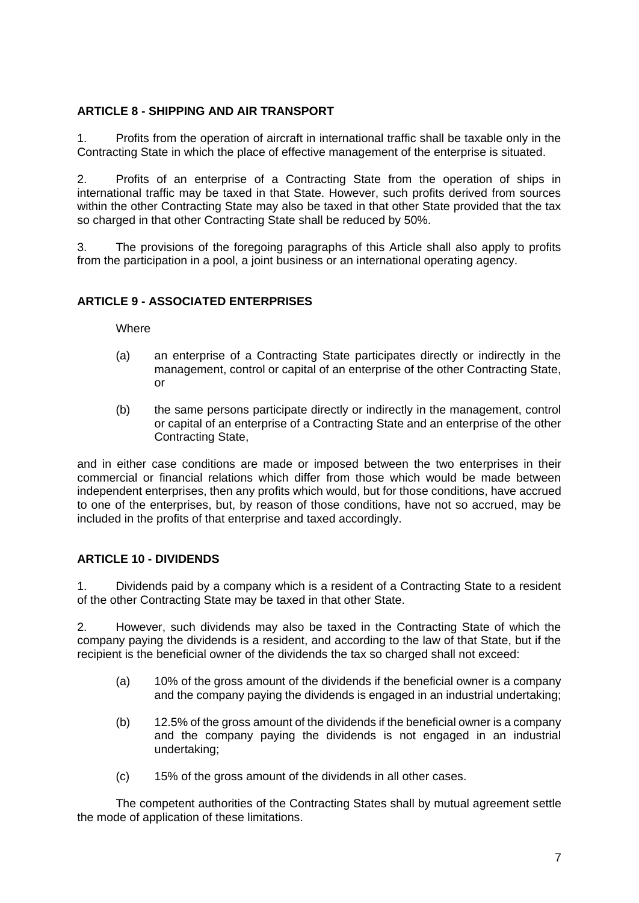## **ARTICLE 8 - SHIPPING AND AIR TRANSPORT**

1. Profits from the operation of aircraft in international traffic shall be taxable only in the Contracting State in which the place of effective management of the enterprise is situated.

2. Profits of an enterprise of a Contracting State from the operation of ships in international traffic may be taxed in that State. However, such profits derived from sources within the other Contracting State may also be taxed in that other State provided that the tax so charged in that other Contracting State shall be reduced by 50%.

3. The provisions of the foregoing paragraphs of this Article shall also apply to profits from the participation in a pool, a joint business or an international operating agency.

# **ARTICLE 9 - ASSOCIATED ENTERPRISES**

**Where** 

- (a) an enterprise of a Contracting State participates directly or indirectly in the management, control or capital of an enterprise of the other Contracting State, or
- (b) the same persons participate directly or indirectly in the management, control or capital of an enterprise of a Contracting State and an enterprise of the other Contracting State,

and in either case conditions are made or imposed between the two enterprises in their commercial or financial relations which differ from those which would be made between independent enterprises, then any profits which would, but for those conditions, have accrued to one of the enterprises, but, by reason of those conditions, have not so accrued, may be included in the profits of that enterprise and taxed accordingly.

#### **ARTICLE 10 - DIVIDENDS**

1. Dividends paid by a company which is a resident of a Contracting State to a resident of the other Contracting State may be taxed in that other State.

2. However, such dividends may also be taxed in the Contracting State of which the company paying the dividends is a resident, and according to the law of that State, but if the recipient is the beneficial owner of the dividends the tax so charged shall not exceed:

- (a) 10% of the gross amount of the dividends if the beneficial owner is a company and the company paying the dividends is engaged in an industrial undertaking;
- (b) 12.5% of the gross amount of the dividends if the beneficial owner is a company and the company paying the dividends is not engaged in an industrial undertaking;
- (c) 15% of the gross amount of the dividends in all other cases.

The competent authorities of the Contracting States shall by mutual agreement settle the mode of application of these limitations.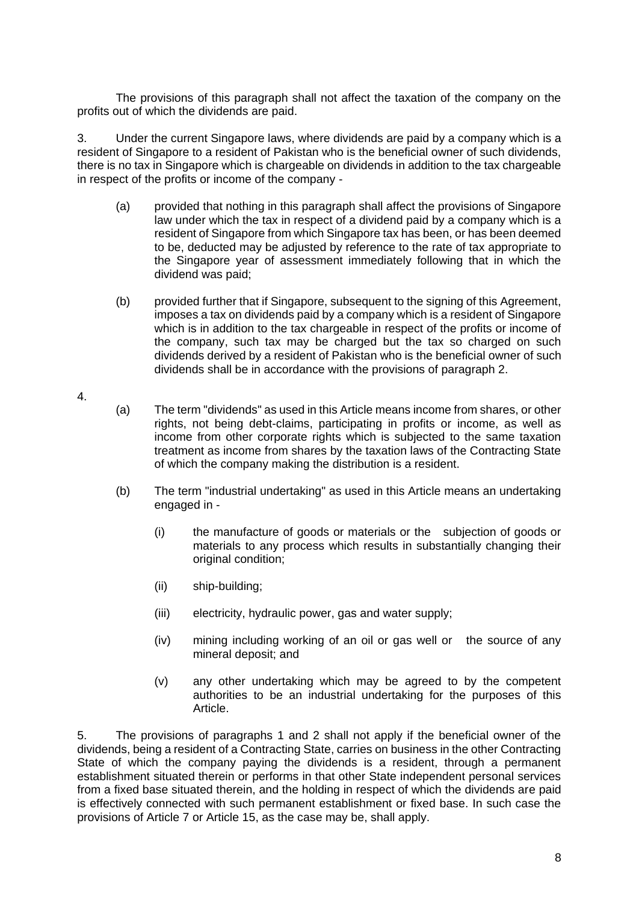The provisions of this paragraph shall not affect the taxation of the company on the profits out of which the dividends are paid.

3. Under the current Singapore laws, where dividends are paid by a company which is a resident of Singapore to a resident of Pakistan who is the beneficial owner of such dividends, there is no tax in Singapore which is chargeable on dividends in addition to the tax chargeable in respect of the profits or income of the company -

- (a) provided that nothing in this paragraph shall affect the provisions of Singapore law under which the tax in respect of a dividend paid by a company which is a resident of Singapore from which Singapore tax has been, or has been deemed to be, deducted may be adjusted by reference to the rate of tax appropriate to the Singapore year of assessment immediately following that in which the dividend was paid;
- (b) provided further that if Singapore, subsequent to the signing of this Agreement, imposes a tax on dividends paid by a company which is a resident of Singapore which is in addition to the tax chargeable in respect of the profits or income of the company, such tax may be charged but the tax so charged on such dividends derived by a resident of Pakistan who is the beneficial owner of such dividends shall be in accordance with the provisions of paragraph 2.
- 4.
- (a) The term "dividends" as used in this Article means income from shares, or other rights, not being debt-claims, participating in profits or income, as well as income from other corporate rights which is subjected to the same taxation treatment as income from shares by the taxation laws of the Contracting State of which the company making the distribution is a resident.
- (b) The term "industrial undertaking" as used in this Article means an undertaking engaged in -
	- (i) the manufacture of goods or materials or the subjection of goods or materials to any process which results in substantially changing their original condition;
	- (ii) ship-building;
	- (iii) electricity, hydraulic power, gas and water supply;
	- (iv) mining including working of an oil or gas well or the source of any mineral deposit; and
	- (v) any other undertaking which may be agreed to by the competent authorities to be an industrial undertaking for the purposes of this Article.

5. The provisions of paragraphs 1 and 2 shall not apply if the beneficial owner of the dividends, being a resident of a Contracting State, carries on business in the other Contracting State of which the company paying the dividends is a resident, through a permanent establishment situated therein or performs in that other State independent personal services from a fixed base situated therein, and the holding in respect of which the dividends are paid is effectively connected with such permanent establishment or fixed base. In such case the provisions of Article 7 or Article 15, as the case may be, shall apply.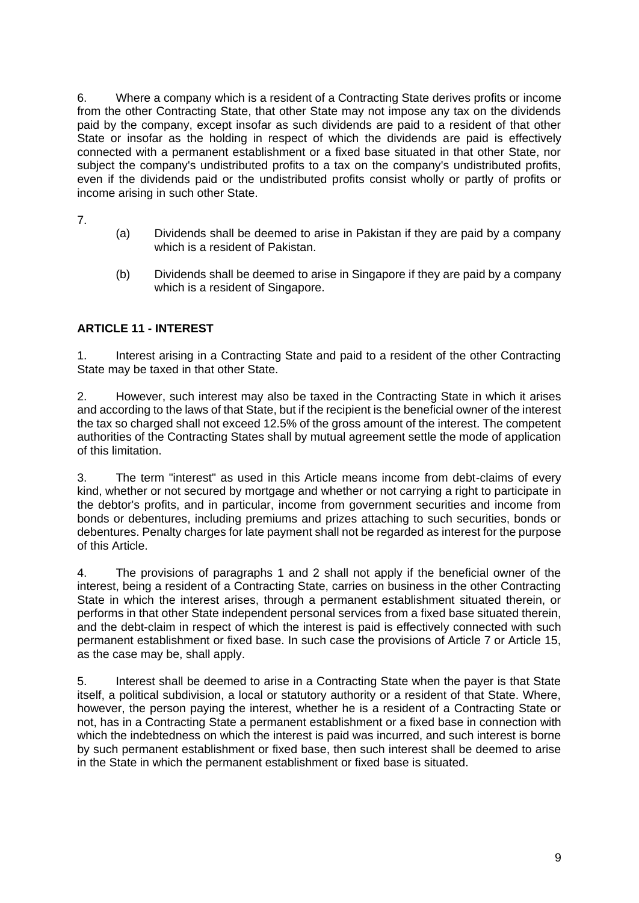6. Where a company which is a resident of a Contracting State derives profits or income from the other Contracting State, that other State may not impose any tax on the dividends paid by the company, except insofar as such dividends are paid to a resident of that other State or insofar as the holding in respect of which the dividends are paid is effectively connected with a permanent establishment or a fixed base situated in that other State, nor subject the company's undistributed profits to a tax on the company's undistributed profits, even if the dividends paid or the undistributed profits consist wholly or partly of profits or income arising in such other State.

7.

- (a) Dividends shall be deemed to arise in Pakistan if they are paid by a company which is a resident of Pakistan.
- (b) Dividends shall be deemed to arise in Singapore if they are paid by a company which is a resident of Singapore.

# **ARTICLE 11 - INTEREST**

1. Interest arising in a Contracting State and paid to a resident of the other Contracting State may be taxed in that other State.

2. However, such interest may also be taxed in the Contracting State in which it arises and according to the laws of that State, but if the recipient is the beneficial owner of the interest the tax so charged shall not exceed 12.5% of the gross amount of the interest. The competent authorities of the Contracting States shall by mutual agreement settle the mode of application of this limitation.

3. The term "interest" as used in this Article means income from debt-claims of every kind, whether or not secured by mortgage and whether or not carrying a right to participate in the debtor's profits, and in particular, income from government securities and income from bonds or debentures, including premiums and prizes attaching to such securities, bonds or debentures. Penalty charges for late payment shall not be regarded as interest for the purpose of this Article.

4. The provisions of paragraphs 1 and 2 shall not apply if the beneficial owner of the interest, being a resident of a Contracting State, carries on business in the other Contracting State in which the interest arises, through a permanent establishment situated therein, or performs in that other State independent personal services from a fixed base situated therein, and the debt-claim in respect of which the interest is paid is effectively connected with such permanent establishment or fixed base. In such case the provisions of Article 7 or Article 15, as the case may be, shall apply.

5. Interest shall be deemed to arise in a Contracting State when the payer is that State itself, a political subdivision, a local or statutory authority or a resident of that State. Where, however, the person paying the interest, whether he is a resident of a Contracting State or not, has in a Contracting State a permanent establishment or a fixed base in connection with which the indebtedness on which the interest is paid was incurred, and such interest is borne by such permanent establishment or fixed base, then such interest shall be deemed to arise in the State in which the permanent establishment or fixed base is situated.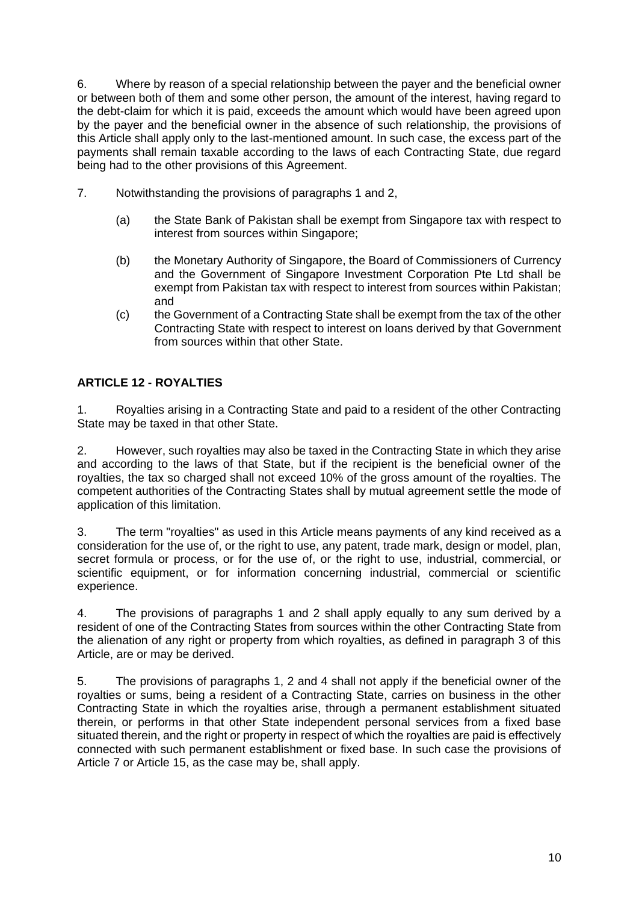6. Where by reason of a special relationship between the payer and the beneficial owner or between both of them and some other person, the amount of the interest, having regard to the debt-claim for which it is paid, exceeds the amount which would have been agreed upon by the payer and the beneficial owner in the absence of such relationship, the provisions of this Article shall apply only to the last-mentioned amount. In such case, the excess part of the payments shall remain taxable according to the laws of each Contracting State, due regard being had to the other provisions of this Agreement.

- 7. Notwithstanding the provisions of paragraphs 1 and 2,
	- (a) the State Bank of Pakistan shall be exempt from Singapore tax with respect to interest from sources within Singapore;
	- (b) the Monetary Authority of Singapore, the Board of Commissioners of Currency and the Government of Singapore Investment Corporation Pte Ltd shall be exempt from Pakistan tax with respect to interest from sources within Pakistan; and
	- (c) the Government of a Contracting State shall be exempt from the tax of the other Contracting State with respect to interest on loans derived by that Government from sources within that other State.

# **ARTICLE 12 - ROYALTIES**

1. Royalties arising in a Contracting State and paid to a resident of the other Contracting State may be taxed in that other State.

2. However, such royalties may also be taxed in the Contracting State in which they arise and according to the laws of that State, but if the recipient is the beneficial owner of the royalties, the tax so charged shall not exceed 10% of the gross amount of the royalties. The competent authorities of the Contracting States shall by mutual agreement settle the mode of application of this limitation.

3. The term "royalties" as used in this Article means payments of any kind received as a consideration for the use of, or the right to use, any patent, trade mark, design or model, plan, secret formula or process, or for the use of, or the right to use, industrial, commercial, or scientific equipment, or for information concerning industrial, commercial or scientific experience.

4. The provisions of paragraphs 1 and 2 shall apply equally to any sum derived by a resident of one of the Contracting States from sources within the other Contracting State from the alienation of any right or property from which royalties, as defined in paragraph 3 of this Article, are or may be derived.

5. The provisions of paragraphs 1, 2 and 4 shall not apply if the beneficial owner of the royalties or sums, being a resident of a Contracting State, carries on business in the other Contracting State in which the royalties arise, through a permanent establishment situated therein, or performs in that other State independent personal services from a fixed base situated therein, and the right or property in respect of which the royalties are paid is effectively connected with such permanent establishment or fixed base. In such case the provisions of Article 7 or Article 15, as the case may be, shall apply.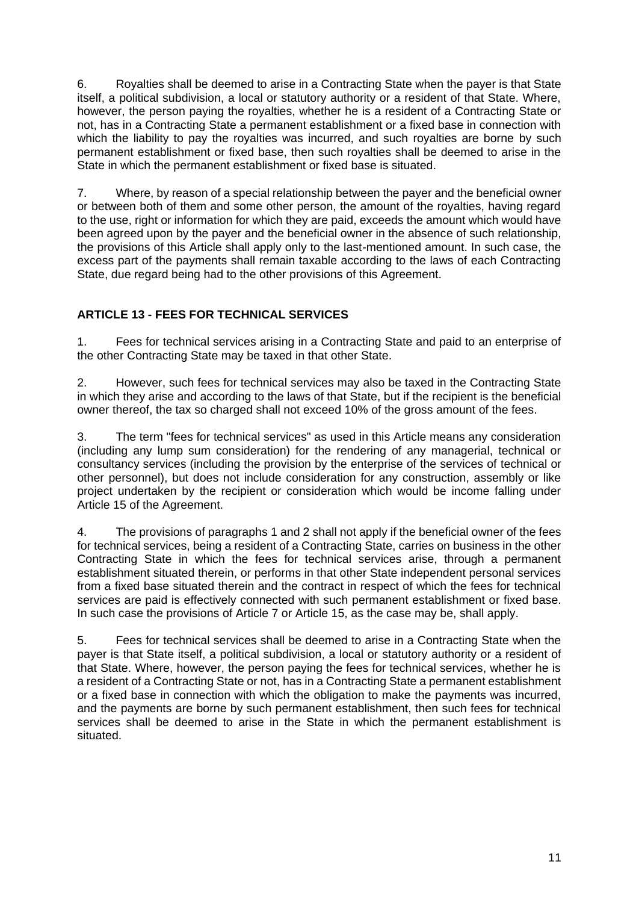6. Royalties shall be deemed to arise in a Contracting State when the payer is that State itself, a political subdivision, a local or statutory authority or a resident of that State. Where, however, the person paying the royalties, whether he is a resident of a Contracting State or not, has in a Contracting State a permanent establishment or a fixed base in connection with which the liability to pay the royalties was incurred, and such royalties are borne by such permanent establishment or fixed base, then such royalties shall be deemed to arise in the State in which the permanent establishment or fixed base is situated.

7. Where, by reason of a special relationship between the payer and the beneficial owner or between both of them and some other person, the amount of the royalties, having regard to the use, right or information for which they are paid, exceeds the amount which would have been agreed upon by the payer and the beneficial owner in the absence of such relationship, the provisions of this Article shall apply only to the last-mentioned amount. In such case, the excess part of the payments shall remain taxable according to the laws of each Contracting State, due regard being had to the other provisions of this Agreement.

# **ARTICLE 13 - FEES FOR TECHNICAL SERVICES**

1. Fees for technical services arising in a Contracting State and paid to an enterprise of the other Contracting State may be taxed in that other State.

2. However, such fees for technical services may also be taxed in the Contracting State in which they arise and according to the laws of that State, but if the recipient is the beneficial owner thereof, the tax so charged shall not exceed 10% of the gross amount of the fees.

3. The term "fees for technical services" as used in this Article means any consideration (including any lump sum consideration) for the rendering of any managerial, technical or consultancy services (including the provision by the enterprise of the services of technical or other personnel), but does not include consideration for any construction, assembly or like project undertaken by the recipient or consideration which would be income falling under Article 15 of the Agreement.

4. The provisions of paragraphs 1 and 2 shall not apply if the beneficial owner of the fees for technical services, being a resident of a Contracting State, carries on business in the other Contracting State in which the fees for technical services arise, through a permanent establishment situated therein, or performs in that other State independent personal services from a fixed base situated therein and the contract in respect of which the fees for technical services are paid is effectively connected with such permanent establishment or fixed base. In such case the provisions of Article 7 or Article 15, as the case may be, shall apply.

5. Fees for technical services shall be deemed to arise in a Contracting State when the payer is that State itself, a political subdivision, a local or statutory authority or a resident of that State. Where, however, the person paying the fees for technical services, whether he is a resident of a Contracting State or not, has in a Contracting State a permanent establishment or a fixed base in connection with which the obligation to make the payments was incurred, and the payments are borne by such permanent establishment, then such fees for technical services shall be deemed to arise in the State in which the permanent establishment is situated.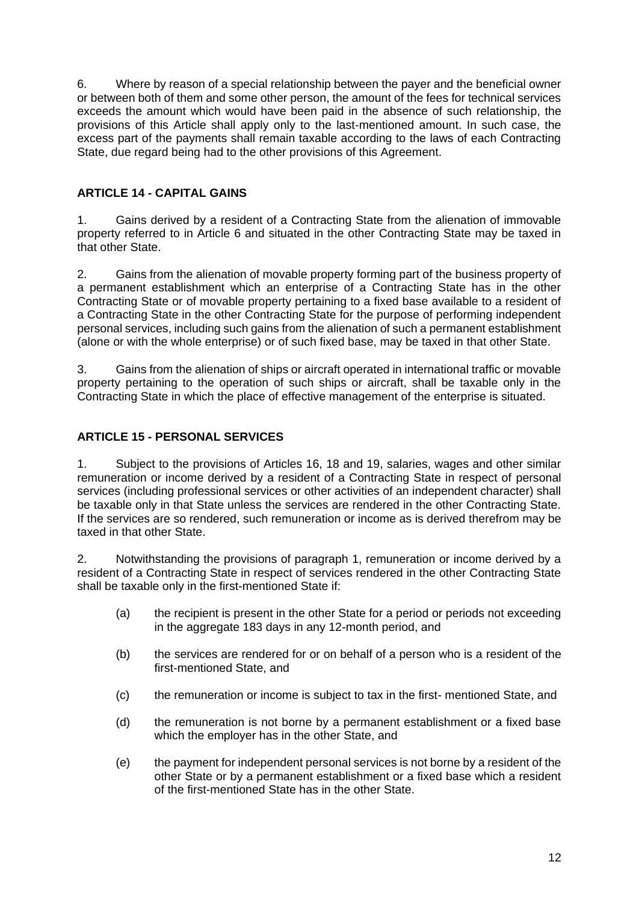6. Where by reason of a special relationship between the payer and the beneficial owner or between both of them and some other person, the amount of the fees for technical services exceeds the amount which would have been paid in the absence of such relationship, the provisions of this Article shall apply only to the last-mentioned amount. In such case, the excess part of the payments shall remain taxable according to the laws of each Contracting State, due regard being had to the other provisions of this Agreement.

# **ARTICLE 14 - CAPITAL GAINS**

1. Gains derived by a resident of a Contracting State from the alienation of immovable property referred to in Article 6 and situated in the other Contracting State may be taxed in that other State.

2. Gains from the alienation of movable property forming part of the business property of a permanent establishment which an enterprise of a Contracting State has in the other Contracting State or of movable property pertaining to a fixed base available to a resident of a Contracting State in the other Contracting State for the purpose of performing independent personal services, including such gains from the alienation of such a permanent establishment (alone or with the whole enterprise) or of such fixed base, may be taxed in that other State.

3. Gains from the alienation of ships or aircraft operated in international traffic or movable property pertaining to the operation of such ships or aircraft, shall be taxable only in the Contracting State in which the place of effective management of the enterprise is situated.

## **ARTICLE 15 - PERSONAL SERVICES**

1. Subject to the provisions of Articles 16, 18 and 19, salaries, wages and other similar remuneration or income derived by a resident of a Contracting State in respect of personal services (including professional services or other activities of an independent character) shall be taxable only in that State unless the services are rendered in the other Contracting State. If the services are so rendered, such remuneration or income as is derived therefrom may be taxed in that other State.

2. Notwithstanding the provisions of paragraph 1, remuneration or income derived by a resident of a Contracting State in respect of services rendered in the other Contracting State shall be taxable only in the first-mentioned State if:

- (a) the recipient is present in the other State for a period or periods not exceeding in the aggregate 183 days in any 12-month period, and
- (b) the services are rendered for or on behalf of a person who is a resident of the first-mentioned State, and
- (c) the remuneration or income is subject to tax in the first- mentioned State, and
- (d) the remuneration is not borne by a permanent establishment or a fixed base which the employer has in the other State, and
- (e) the payment for independent personal services is not borne by a resident of the other State or by a permanent establishment or a fixed base which a resident of the first-mentioned State has in the other State.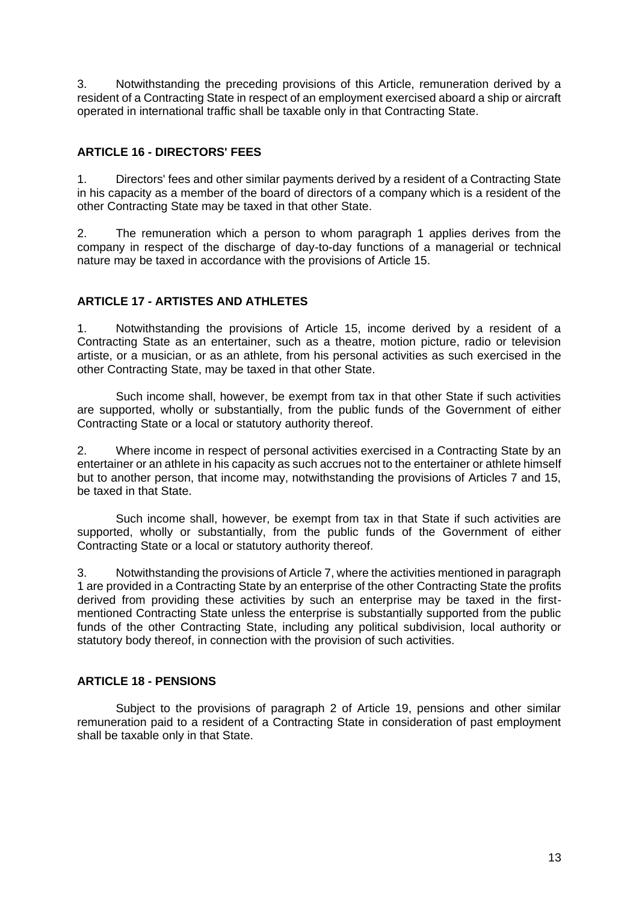3. Notwithstanding the preceding provisions of this Article, remuneration derived by a resident of a Contracting State in respect of an employment exercised aboard a ship or aircraft operated in international traffic shall be taxable only in that Contracting State.

# **ARTICLE 16 - DIRECTORS' FEES**

1. Directors' fees and other similar payments derived by a resident of a Contracting State in his capacity as a member of the board of directors of a company which is a resident of the other Contracting State may be taxed in that other State.

2. The remuneration which a person to whom paragraph 1 applies derives from the company in respect of the discharge of day-to-day functions of a managerial or technical nature may be taxed in accordance with the provisions of Article 15.

## **ARTICLE 17 - ARTISTES AND ATHLETES**

1. Notwithstanding the provisions of Article 15, income derived by a resident of a Contracting State as an entertainer, such as a theatre, motion picture, radio or television artiste, or a musician, or as an athlete, from his personal activities as such exercised in the other Contracting State, may be taxed in that other State.

Such income shall, however, be exempt from tax in that other State if such activities are supported, wholly or substantially, from the public funds of the Government of either Contracting State or a local or statutory authority thereof.

2. Where income in respect of personal activities exercised in a Contracting State by an entertainer or an athlete in his capacity as such accrues not to the entertainer or athlete himself but to another person, that income may, notwithstanding the provisions of Articles 7 and 15, be taxed in that State.

Such income shall, however, be exempt from tax in that State if such activities are supported, wholly or substantially, from the public funds of the Government of either Contracting State or a local or statutory authority thereof.

3. Notwithstanding the provisions of Article 7, where the activities mentioned in paragraph 1 are provided in a Contracting State by an enterprise of the other Contracting State the profits derived from providing these activities by such an enterprise may be taxed in the firstmentioned Contracting State unless the enterprise is substantially supported from the public funds of the other Contracting State, including any political subdivision, local authority or statutory body thereof, in connection with the provision of such activities.

#### **ARTICLE 18 - PENSIONS**

Subject to the provisions of paragraph 2 of Article 19, pensions and other similar remuneration paid to a resident of a Contracting State in consideration of past employment shall be taxable only in that State.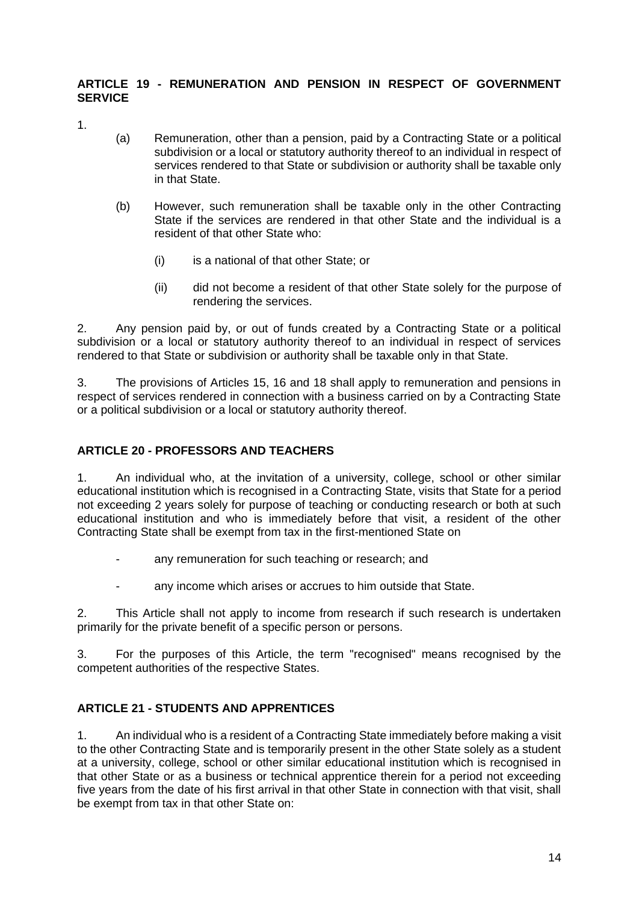#### **ARTICLE 19 - REMUNERATION AND PENSION IN RESPECT OF GOVERNMENT SERVICE**

- 1.
- (a) Remuneration, other than a pension, paid by a Contracting State or a political subdivision or a local or statutory authority thereof to an individual in respect of services rendered to that State or subdivision or authority shall be taxable only in that State.
- (b) However, such remuneration shall be taxable only in the other Contracting State if the services are rendered in that other State and the individual is a resident of that other State who:
	- (i) is a national of that other State; or
	- (ii) did not become a resident of that other State solely for the purpose of rendering the services.

2. Any pension paid by, or out of funds created by a Contracting State or a political subdivision or a local or statutory authority thereof to an individual in respect of services rendered to that State or subdivision or authority shall be taxable only in that State.

3. The provisions of Articles 15, 16 and 18 shall apply to remuneration and pensions in respect of services rendered in connection with a business carried on by a Contracting State or a political subdivision or a local or statutory authority thereof.

# **ARTICLE 20 - PROFESSORS AND TEACHERS**

1. An individual who, at the invitation of a university, college, school or other similar educational institution which is recognised in a Contracting State, visits that State for a period not exceeding 2 years solely for purpose of teaching or conducting research or both at such educational institution and who is immediately before that visit, a resident of the other Contracting State shall be exempt from tax in the first-mentioned State on

- any remuneration for such teaching or research; and
- any income which arises or accrues to him outside that State.

2. This Article shall not apply to income from research if such research is undertaken primarily for the private benefit of a specific person or persons.

3. For the purposes of this Article, the term "recognised" means recognised by the competent authorities of the respective States.

## **ARTICLE 21 - STUDENTS AND APPRENTICES**

1. An individual who is a resident of a Contracting State immediately before making a visit to the other Contracting State and is temporarily present in the other State solely as a student at a university, college, school or other similar educational institution which is recognised in that other State or as a business or technical apprentice therein for a period not exceeding five years from the date of his first arrival in that other State in connection with that visit, shall be exempt from tax in that other State on: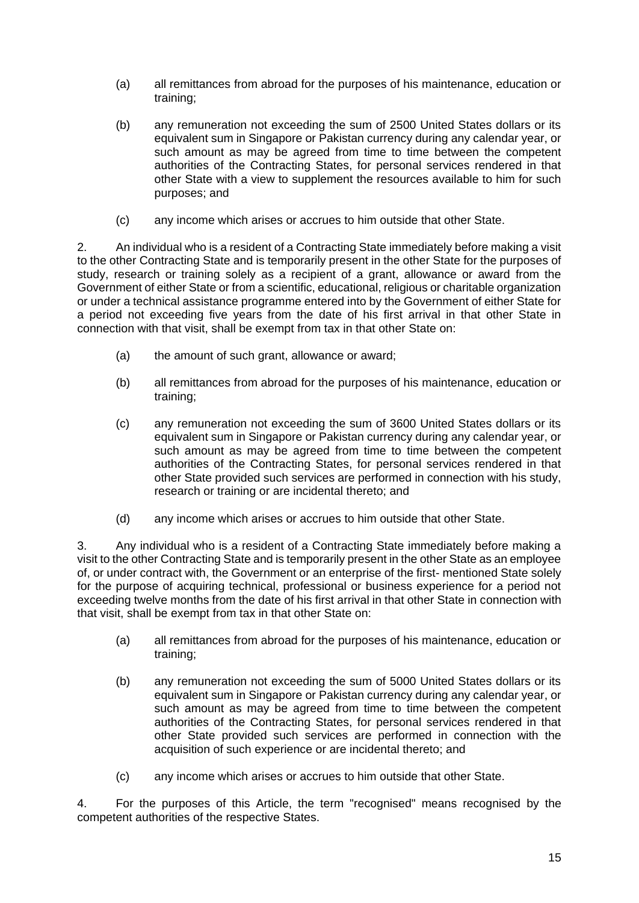- (a) all remittances from abroad for the purposes of his maintenance, education or training;
- (b) any remuneration not exceeding the sum of 2500 United States dollars or its equivalent sum in Singapore or Pakistan currency during any calendar year, or such amount as may be agreed from time to time between the competent authorities of the Contracting States, for personal services rendered in that other State with a view to supplement the resources available to him for such purposes; and
- (c) any income which arises or accrues to him outside that other State.

2. An individual who is a resident of a Contracting State immediately before making a visit to the other Contracting State and is temporarily present in the other State for the purposes of study, research or training solely as a recipient of a grant, allowance or award from the Government of either State or from a scientific, educational, religious or charitable organization or under a technical assistance programme entered into by the Government of either State for a period not exceeding five years from the date of his first arrival in that other State in connection with that visit, shall be exempt from tax in that other State on:

- (a) the amount of such grant, allowance or award;
- (b) all remittances from abroad for the purposes of his maintenance, education or training;
- (c) any remuneration not exceeding the sum of 3600 United States dollars or its equivalent sum in Singapore or Pakistan currency during any calendar year, or such amount as may be agreed from time to time between the competent authorities of the Contracting States, for personal services rendered in that other State provided such services are performed in connection with his study, research or training or are incidental thereto; and
- (d) any income which arises or accrues to him outside that other State.

3. Any individual who is a resident of a Contracting State immediately before making a visit to the other Contracting State and is temporarily present in the other State as an employee of, or under contract with, the Government or an enterprise of the first- mentioned State solely for the purpose of acquiring technical, professional or business experience for a period not exceeding twelve months from the date of his first arrival in that other State in connection with that visit, shall be exempt from tax in that other State on:

- (a) all remittances from abroad for the purposes of his maintenance, education or training;
- (b) any remuneration not exceeding the sum of 5000 United States dollars or its equivalent sum in Singapore or Pakistan currency during any calendar year, or such amount as may be agreed from time to time between the competent authorities of the Contracting States, for personal services rendered in that other State provided such services are performed in connection with the acquisition of such experience or are incidental thereto; and
- (c) any income which arises or accrues to him outside that other State.

4. For the purposes of this Article, the term "recognised" means recognised by the competent authorities of the respective States.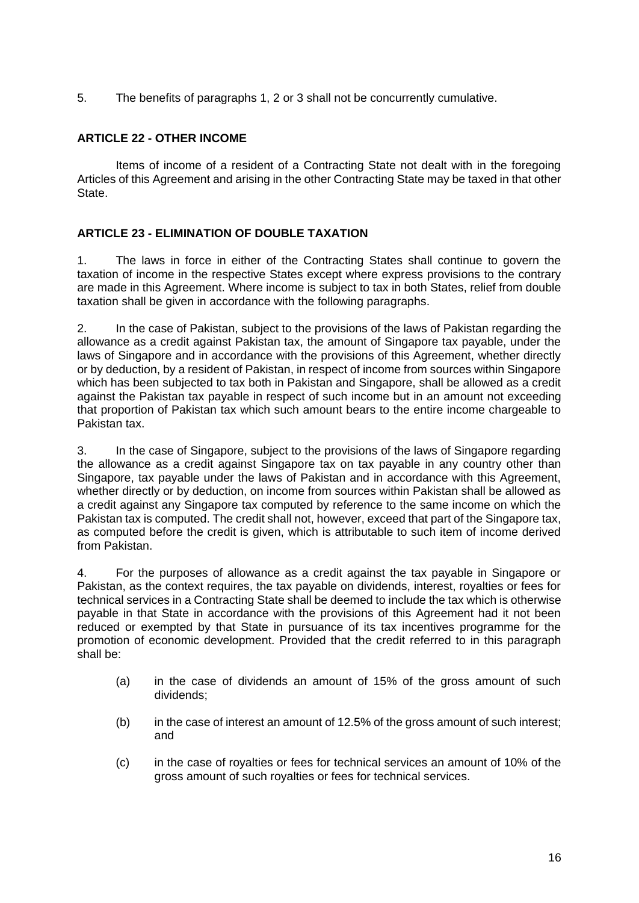5. The benefits of paragraphs 1, 2 or 3 shall not be concurrently cumulative.

## **ARTICLE 22 - OTHER INCOME**

Items of income of a resident of a Contracting State not dealt with in the foregoing Articles of this Agreement and arising in the other Contracting State may be taxed in that other State.

#### **ARTICLE 23 - ELIMINATION OF DOUBLE TAXATION**

1. The laws in force in either of the Contracting States shall continue to govern the taxation of income in the respective States except where express provisions to the contrary are made in this Agreement. Where income is subject to tax in both States, relief from double taxation shall be given in accordance with the following paragraphs.

2. In the case of Pakistan, subject to the provisions of the laws of Pakistan regarding the allowance as a credit against Pakistan tax, the amount of Singapore tax payable, under the laws of Singapore and in accordance with the provisions of this Agreement, whether directly or by deduction, by a resident of Pakistan, in respect of income from sources within Singapore which has been subjected to tax both in Pakistan and Singapore, shall be allowed as a credit against the Pakistan tax payable in respect of such income but in an amount not exceeding that proportion of Pakistan tax which such amount bears to the entire income chargeable to Pakistan tax.

3. In the case of Singapore, subject to the provisions of the laws of Singapore regarding the allowance as a credit against Singapore tax on tax payable in any country other than Singapore, tax payable under the laws of Pakistan and in accordance with this Agreement, whether directly or by deduction, on income from sources within Pakistan shall be allowed as a credit against any Singapore tax computed by reference to the same income on which the Pakistan tax is computed. The credit shall not, however, exceed that part of the Singapore tax, as computed before the credit is given, which is attributable to such item of income derived from Pakistan.

4. For the purposes of allowance as a credit against the tax payable in Singapore or Pakistan, as the context requires, the tax payable on dividends, interest, royalties or fees for technical services in a Contracting State shall be deemed to include the tax which is otherwise payable in that State in accordance with the provisions of this Agreement had it not been reduced or exempted by that State in pursuance of its tax incentives programme for the promotion of economic development. Provided that the credit referred to in this paragraph shall be:

- (a) in the case of dividends an amount of 15% of the gross amount of such dividends;
- (b) in the case of interest an amount of 12.5% of the gross amount of such interest; and
- (c) in the case of royalties or fees for technical services an amount of 10% of the gross amount of such royalties or fees for technical services.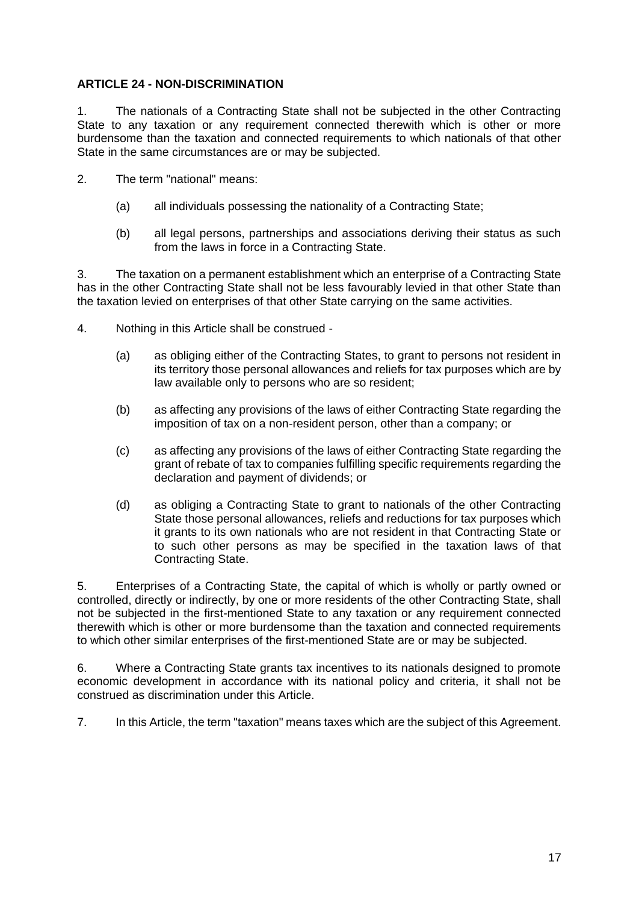#### **ARTICLE 24 - NON-DISCRIMINATION**

1. The nationals of a Contracting State shall not be subjected in the other Contracting State to any taxation or any requirement connected therewith which is other or more burdensome than the taxation and connected requirements to which nationals of that other State in the same circumstances are or may be subjected.

2. The term "national" means:

- (a) all individuals possessing the nationality of a Contracting State;
- (b) all legal persons, partnerships and associations deriving their status as such from the laws in force in a Contracting State.

3. The taxation on a permanent establishment which an enterprise of a Contracting State has in the other Contracting State shall not be less favourably levied in that other State than the taxation levied on enterprises of that other State carrying on the same activities.

- 4. Nothing in this Article shall be construed
	- (a) as obliging either of the Contracting States, to grant to persons not resident in its territory those personal allowances and reliefs for tax purposes which are by law available only to persons who are so resident;
	- (b) as affecting any provisions of the laws of either Contracting State regarding the imposition of tax on a non-resident person, other than a company; or
	- (c) as affecting any provisions of the laws of either Contracting State regarding the grant of rebate of tax to companies fulfilling specific requirements regarding the declaration and payment of dividends; or
	- (d) as obliging a Contracting State to grant to nationals of the other Contracting State those personal allowances, reliefs and reductions for tax purposes which it grants to its own nationals who are not resident in that Contracting State or to such other persons as may be specified in the taxation laws of that Contracting State.

5. Enterprises of a Contracting State, the capital of which is wholly or partly owned or controlled, directly or indirectly, by one or more residents of the other Contracting State, shall not be subjected in the first-mentioned State to any taxation or any requirement connected therewith which is other or more burdensome than the taxation and connected requirements to which other similar enterprises of the first-mentioned State are or may be subjected.

6. Where a Contracting State grants tax incentives to its nationals designed to promote economic development in accordance with its national policy and criteria, it shall not be construed as discrimination under this Article.

7. In this Article, the term "taxation" means taxes which are the subject of this Agreement.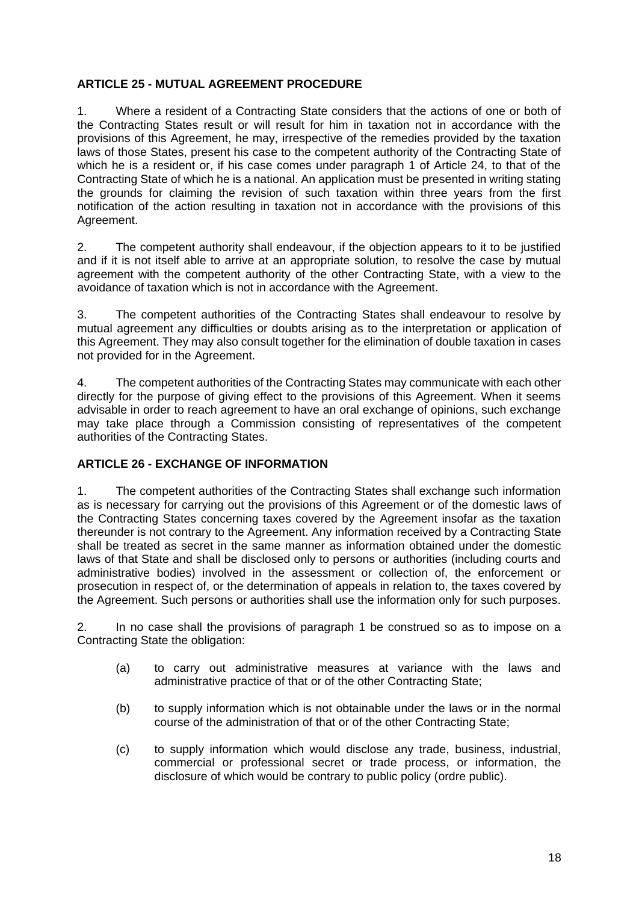#### **ARTICLE 25 - MUTUAL AGREEMENT PROCEDURE**

1. Where a resident of a Contracting State considers that the actions of one or both of the Contracting States result or will result for him in taxation not in accordance with the provisions of this Agreement, he may, irrespective of the remedies provided by the taxation laws of those States, present his case to the competent authority of the Contracting State of which he is a resident or, if his case comes under paragraph 1 of Article 24, to that of the Contracting State of which he is a national. An application must be presented in writing stating the grounds for claiming the revision of such taxation within three years from the first notification of the action resulting in taxation not in accordance with the provisions of this Agreement.

2. The competent authority shall endeavour, if the objection appears to it to be justified and if it is not itself able to arrive at an appropriate solution, to resolve the case by mutual agreement with the competent authority of the other Contracting State, with a view to the avoidance of taxation which is not in accordance with the Agreement.

3. The competent authorities of the Contracting States shall endeavour to resolve by mutual agreement any difficulties or doubts arising as to the interpretation or application of this Agreement. They may also consult together for the elimination of double taxation in cases not provided for in the Agreement.

4. The competent authorities of the Contracting States may communicate with each other directly for the purpose of giving effect to the provisions of this Agreement. When it seems advisable in order to reach agreement to have an oral exchange of opinions, such exchange may take place through a Commission consisting of representatives of the competent authorities of the Contracting States.

## **ARTICLE 26 - EXCHANGE OF INFORMATION**

1. The competent authorities of the Contracting States shall exchange such information as is necessary for carrying out the provisions of this Agreement or of the domestic laws of the Contracting States concerning taxes covered by the Agreement insofar as the taxation thereunder is not contrary to the Agreement. Any information received by a Contracting State shall be treated as secret in the same manner as information obtained under the domestic laws of that State and shall be disclosed only to persons or authorities (including courts and administrative bodies) involved in the assessment or collection of, the enforcement or prosecution in respect of, or the determination of appeals in relation to, the taxes covered by the Agreement. Such persons or authorities shall use the information only for such purposes.

2. In no case shall the provisions of paragraph 1 be construed so as to impose on a Contracting State the obligation:

- (a) to carry out administrative measures at variance with the laws and administrative practice of that or of the other Contracting State;
- (b) to supply information which is not obtainable under the laws or in the normal course of the administration of that or of the other Contracting State;
- (c) to supply information which would disclose any trade, business, industrial, commercial or professional secret or trade process, or information, the disclosure of which would be contrary to public policy (ordre public).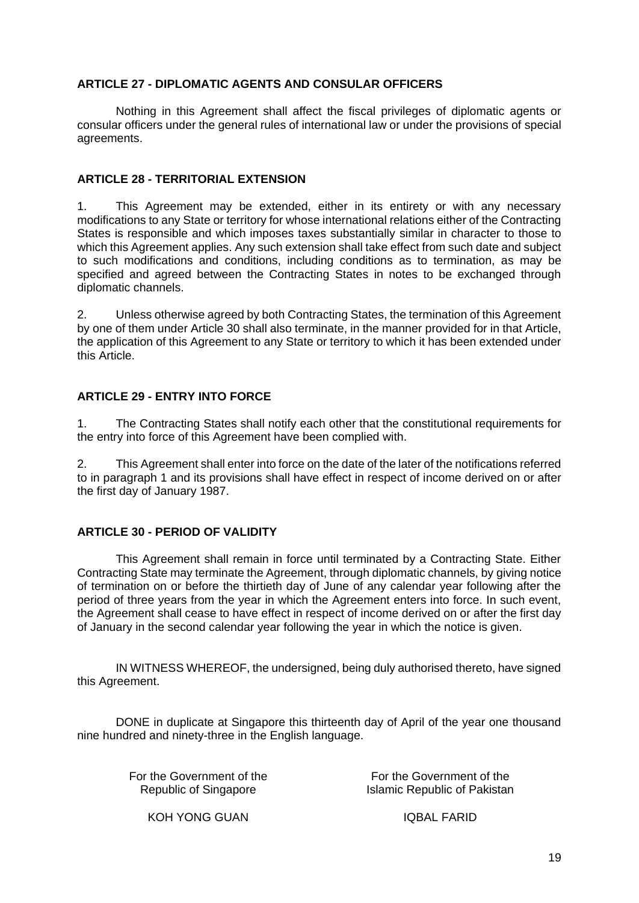#### **ARTICLE 27 - DIPLOMATIC AGENTS AND CONSULAR OFFICERS**

Nothing in this Agreement shall affect the fiscal privileges of diplomatic agents or consular officers under the general rules of international law or under the provisions of special agreements.

#### **ARTICLE 28 - TERRITORIAL EXTENSION**

1. This Agreement may be extended, either in its entirety or with any necessary modifications to any State or territory for whose international relations either of the Contracting States is responsible and which imposes taxes substantially similar in character to those to which this Agreement applies. Any such extension shall take effect from such date and subject to such modifications and conditions, including conditions as to termination, as may be specified and agreed between the Contracting States in notes to be exchanged through diplomatic channels.

2. Unless otherwise agreed by both Contracting States, the termination of this Agreement by one of them under Article 30 shall also terminate, in the manner provided for in that Article, the application of this Agreement to any State or territory to which it has been extended under this Article.

#### **ARTICLE 29 - ENTRY INTO FORCE**

1. The Contracting States shall notify each other that the constitutional requirements for the entry into force of this Agreement have been complied with.

2. This Agreement shall enter into force on the date of the later of the notifications referred to in paragraph 1 and its provisions shall have effect in respect of income derived on or after the first day of January 1987.

#### **ARTICLE 30 - PERIOD OF VALIDITY**

This Agreement shall remain in force until terminated by a Contracting State. Either Contracting State may terminate the Agreement, through diplomatic channels, by giving notice of termination on or before the thirtieth day of June of any calendar year following after the period of three years from the year in which the Agreement enters into force. In such event, the Agreement shall cease to have effect in respect of income derived on or after the first day of January in the second calendar year following the year in which the notice is given.

IN WITNESS WHEREOF, the undersigned, being duly authorised thereto, have signed this Agreement.

DONE in duplicate at Singapore this thirteenth day of April of the year one thousand nine hundred and ninety-three in the English language.

> For the Government of the Republic of Singapore

For the Government of the Islamic Republic of Pakistan

KOH YONG GUAN IQBAL FARID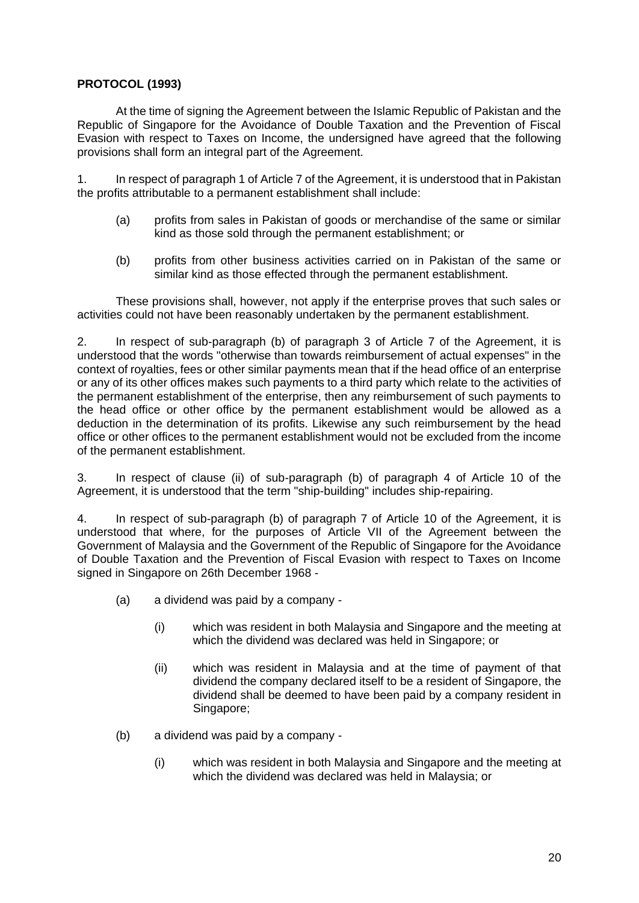#### **PROTOCOL (1993)**

At the time of signing the Agreement between the Islamic Republic of Pakistan and the Republic of Singapore for the Avoidance of Double Taxation and the Prevention of Fiscal Evasion with respect to Taxes on Income, the undersigned have agreed that the following provisions shall form an integral part of the Agreement.

1. In respect of paragraph 1 of Article 7 of the Agreement, it is understood that in Pakistan the profits attributable to a permanent establishment shall include:

- (a) profits from sales in Pakistan of goods or merchandise of the same or similar kind as those sold through the permanent establishment; or
- (b) profits from other business activities carried on in Pakistan of the same or similar kind as those effected through the permanent establishment.

These provisions shall, however, not apply if the enterprise proves that such sales or activities could not have been reasonably undertaken by the permanent establishment.

2. In respect of sub-paragraph (b) of paragraph 3 of Article 7 of the Agreement, it is understood that the words "otherwise than towards reimbursement of actual expenses" in the context of royalties, fees or other similar payments mean that if the head office of an enterprise or any of its other offices makes such payments to a third party which relate to the activities of the permanent establishment of the enterprise, then any reimbursement of such payments to the head office or other office by the permanent establishment would be allowed as a deduction in the determination of its profits. Likewise any such reimbursement by the head office or other offices to the permanent establishment would not be excluded from the income of the permanent establishment.

3. In respect of clause (ii) of sub-paragraph (b) of paragraph 4 of Article 10 of the Agreement, it is understood that the term "ship-building" includes ship-repairing.

4. In respect of sub-paragraph (b) of paragraph 7 of Article 10 of the Agreement, it is understood that where, for the purposes of Article VII of the Agreement between the Government of Malaysia and the Government of the Republic of Singapore for the Avoidance of Double Taxation and the Prevention of Fiscal Evasion with respect to Taxes on Income signed in Singapore on 26th December 1968 -

- (a) a dividend was paid by a company
	- (i) which was resident in both Malaysia and Singapore and the meeting at which the dividend was declared was held in Singapore; or
	- (ii) which was resident in Malaysia and at the time of payment of that dividend the company declared itself to be a resident of Singapore, the dividend shall be deemed to have been paid by a company resident in Singapore;
- (b) a dividend was paid by a company
	- (i) which was resident in both Malaysia and Singapore and the meeting at which the dividend was declared was held in Malaysia; or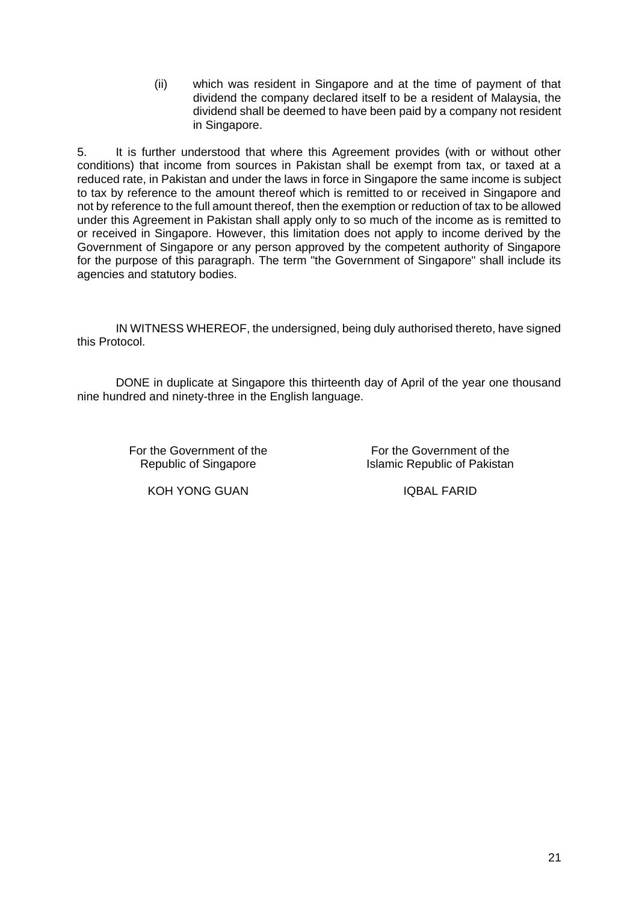(ii) which was resident in Singapore and at the time of payment of that dividend the company declared itself to be a resident of Malaysia, the dividend shall be deemed to have been paid by a company not resident in Singapore.

5. It is further understood that where this Agreement provides (with or without other conditions) that income from sources in Pakistan shall be exempt from tax, or taxed at a reduced rate, in Pakistan and under the laws in force in Singapore the same income is subject to tax by reference to the amount thereof which is remitted to or received in Singapore and not by reference to the full amount thereof, then the exemption or reduction of tax to be allowed under this Agreement in Pakistan shall apply only to so much of the income as is remitted to or received in Singapore. However, this limitation does not apply to income derived by the Government of Singapore or any person approved by the competent authority of Singapore for the purpose of this paragraph. The term "the Government of Singapore" shall include its agencies and statutory bodies.

IN WITNESS WHEREOF, the undersigned, being duly authorised thereto, have signed this Protocol.

DONE in duplicate at Singapore this thirteenth day of April of the year one thousand nine hundred and ninety-three in the English language.

> For the Government of the Republic of Singapore

For the Government of the Islamic Republic of Pakistan

KOH YONG GUAN IQBAL FARID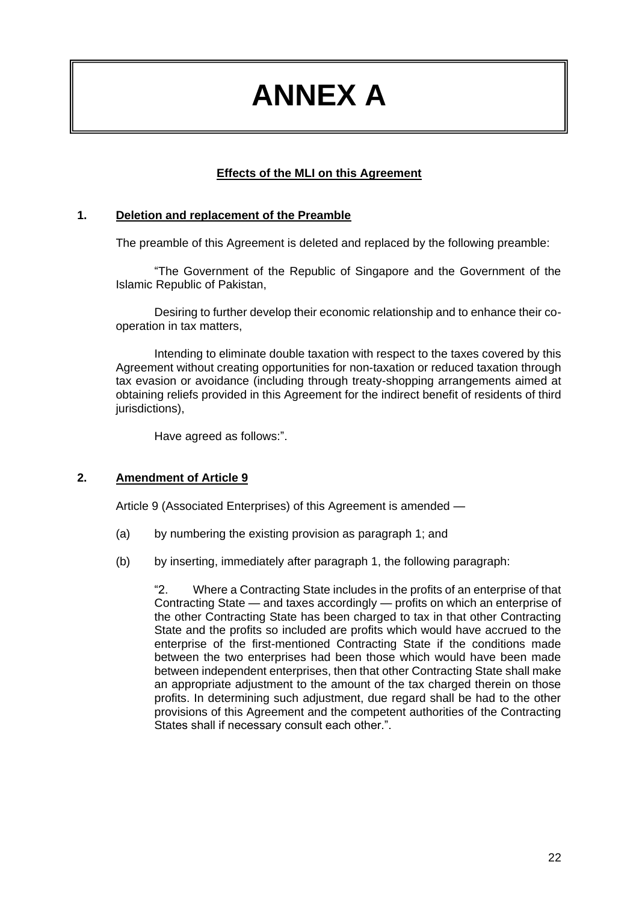# **ANNEX A**

# **Effects of the MLI on this Agreement**

## **1. Deletion and replacement of the Preamble**

The preamble of this Agreement is deleted and replaced by the following preamble:

"The Government of the Republic of Singapore and the Government of the Islamic Republic of Pakistan,

Desiring to further develop their economic relationship and to enhance their cooperation in tax matters,

Intending to eliminate double taxation with respect to the taxes covered by this Agreement without creating opportunities for non-taxation or reduced taxation through tax evasion or avoidance (including through treaty-shopping arrangements aimed at obtaining reliefs provided in this Agreement for the indirect benefit of residents of third jurisdictions),

Have agreed as follows:".

#### **2. Amendment of Article 9**

Article 9 (Associated Enterprises) of this Agreement is amended —

- (a) by numbering the existing provision as paragraph 1; and
- (b) by inserting, immediately after paragraph 1, the following paragraph:

"2. Where a Contracting State includes in the profits of an enterprise of that Contracting State — and taxes accordingly — profits on which an enterprise of the other Contracting State has been charged to tax in that other Contracting State and the profits so included are profits which would have accrued to the enterprise of the first-mentioned Contracting State if the conditions made between the two enterprises had been those which would have been made between independent enterprises, then that other Contracting State shall make an appropriate adjustment to the amount of the tax charged therein on those profits. In determining such adjustment, due regard shall be had to the other provisions of this Agreement and the competent authorities of the Contracting States shall if necessary consult each other.".